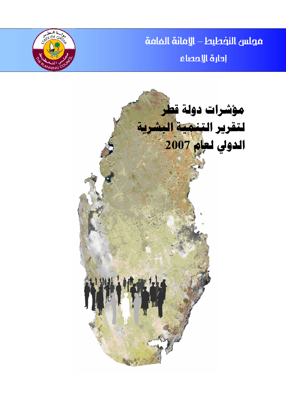مجلس النفطيط – الإفانة الفافة إدارة الإعصاء



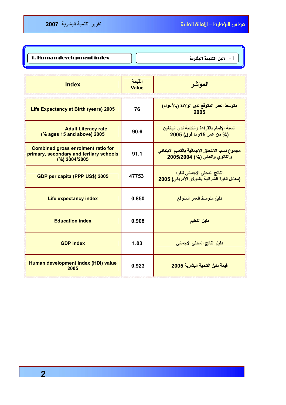| 1. Human development index | دليل التنمية البشرية $\!-1$ |
|----------------------------|-----------------------------|
|                            |                             |

| <b>Index</b>                                                                                          | القيمة<br><b>Value</b> | الموشر                                                                                 |
|-------------------------------------------------------------------------------------------------------|------------------------|----------------------------------------------------------------------------------------|
| Life Expectancy at Birth (years) 2005                                                                 | 76                     | متوسط العمر المتوقع لدى الولادة (بالأعوام)<br>2005                                     |
| <b>Adult Literacy rate</b><br>(% ages 15 and above) 2005                                              | 90.6                   | نسبة الإلمام بالقراءة والكتابة لدى البالغين<br>(% من عمر 15وما فوق) 2005               |
| <b>Combined gross enrolment ratio for</b><br>primary, secondary and tertiary schools<br>(%) 2004/2005 | 91.1                   | مجموع نسب الالتحاق الإجمالية بالتعليم الابتدائي<br>والثانوي والعالي (%) 2005/2004      |
| GDP per capita (PPP US\$) 2005                                                                        | 47753                  | الناتج المحلي الإج <i>م</i> الي للفرد<br>(معادل القوة الشرائية بالدولار الأمريكي) 2005 |
| Life expectancy index                                                                                 | 0.850                  | دليل متوسط العمر المتوقع                                                               |
| <b>Education index</b>                                                                                | 0.908                  | دليل التعليم                                                                           |
| <b>GDP index</b>                                                                                      | 1.03                   | دليل الناتج المحلى الإجمالي                                                            |
| Human development index (HDI) value<br>2005                                                           | 0.923                  | قيمة دليل التنمية البشرية 2005                                                         |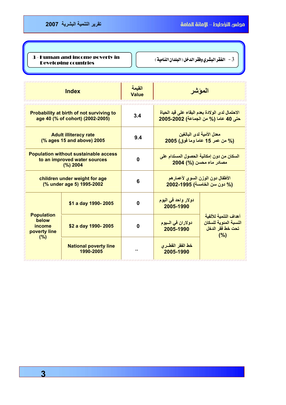| <b>3 - Human and income poverty in</b><br><b>Developing countries</b> | 3 - الفقر البشري وفقر الدخل ( البلدان النامية ) |
|-----------------------------------------------------------------------|-------------------------------------------------|
|                                                                       |                                                 |

| <b>Index</b>                                                                             |                                           | القيمة<br><b>Value</b> |                                                                                         | الموشر                                                                    |  |
|------------------------------------------------------------------------------------------|-------------------------------------------|------------------------|-----------------------------------------------------------------------------------------|---------------------------------------------------------------------------|--|
| Probability at birth of not surviving to<br>age 40 (% of cohort) (2002-2005)             |                                           | 3.4                    | الاحتمال لدى الولادة بعدم البقاء على قيد الحياة<br>حتى 40 عاما (% من الجماعة) 2002-2005 |                                                                           |  |
| <b>Adult illiteracy rate</b><br>(% ages 15 and above) 2005                               |                                           | 9.4                    | معدل الأمية لدى البالغين<br>(% من عمر 15 عاما وما فوق) 2005                             |                                                                           |  |
| <b>Population without sustainable access</b><br>to an improved water sources<br>(%) 2004 |                                           | 0                      | السكان من دون إمكانية الحصول المستدام على<br>مصادر ماء محسن (%) 2004                    |                                                                           |  |
| children under weight for age<br>(% under age 5) 1995-2002                               |                                           | 6                      | الأطفال دون الوزن السوى لأعمارهم<br>(% دون سن الخامسة) 1995-2002                        |                                                                           |  |
|                                                                                          | \$1 a day 1990-2005                       | $\mathbf 0$            | دولار واحد ف <i>ي</i> اليوم<br>2005-1990                                                |                                                                           |  |
| <b>Population</b><br>below<br>income<br>poverty line<br>(%)                              | \$2 a day 1990-2005                       | 0                      | دولاران في السيوم<br>2005-1990                                                          | أهداف التنمية للألفية<br>النسبة المئوية للسكان<br>تحت خط فقر الدخل<br>(%) |  |
|                                                                                          | <b>National poverty line</b><br>1990-2005 |                        | خط الفقر القطـرى<br>2005-1990                                                           |                                                                           |  |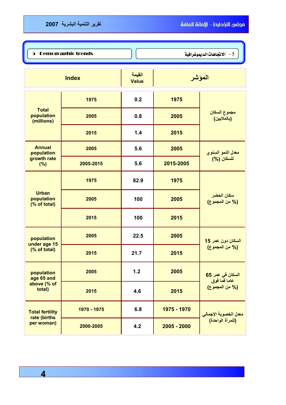l

 $\textbf{5}$  - Demographic trends  $\textbf{1}$   $\textbf{2}$   $\textbf{3}$   $\textbf{4}$   $\textbf{5}$   $\textbf{1}$   $\textbf{2}$   $\textbf{3}$   $\textbf{4}$   $\textbf{5}$   $\textbf{6}$ 

| <b>Index</b>                                      |             | القيمة<br><b>Value</b> | المؤشر        |                                     |  |
|---------------------------------------------------|-------------|------------------------|---------------|-------------------------------------|--|
|                                                   | 1975        | 0.2                    | 1975          |                                     |  |
| <b>Total</b><br>population<br>(millions)          | 2005        | 0.8                    | 2005          | مجموع السكا <i>ن</i><br>(بالملايين) |  |
|                                                   | 2015        | 1.4                    | 2015          |                                     |  |
| <b>Annual</b><br>population                       | 2005        | 5.6                    | 2005          | معدل النمو السنوي<br>للسكان (%)     |  |
| growth rate<br>(%)                                | 2005-2015   | 5.6                    | 2015-2005     |                                     |  |
| <b>Urban</b><br>population<br>(% of total)        | 1975        | 82.9                   | 1975          |                                     |  |
|                                                   | 2005        | 100                    | 2005          | سكان الحضر<br>(% من المجموع)        |  |
|                                                   | 2015        | 100                    | 2015          |                                     |  |
| population<br>under age 15<br>(% of total)        | 2005        | 22.5                   | 2005          | السكان دون عمر 15                   |  |
|                                                   | 2015        | 21.7                   | 2015          | (% من المجموع)                      |  |
| population<br>age 65 and<br>above (% of<br>total) | 2005        | 1.2                    | 2005          | السكان في عمر 65<br>عاما فَما فوق   |  |
|                                                   | 2015        | 4.6                    | 2015          | (% من المجموع)                      |  |
| <b>Total fertility</b>                            | 1970 - 1975 | 6.8                    | 1975 - 1970   | معدل الخصوبة الإجمالي               |  |
| rate (births<br>per woman)                        | 2000-2005   | 4.2                    | $2005 - 2000$ | (للمرأة الواحدة)                    |  |

 **4**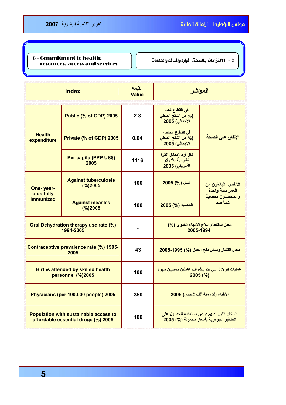ſ

## $\bullet$  - Commitment to health: الالتزامات بـالصعة: الموارد والمُنافذ والخدمات  $\bullet$  .  $\bullet$ resources, access and services

| <b>Index</b>                                                                        |                                        | القيمة<br><b>Value</b> | الموشر                                                                                |                                        |
|-------------------------------------------------------------------------------------|----------------------------------------|------------------------|---------------------------------------------------------------------------------------|----------------------------------------|
| <b>Health</b><br>expenditure                                                        | Public (% of GDP) 2005                 | 2.3                    | في القطاع العام<br>(% من الناتج المحلي<br>الإجمالي) 2005                              |                                        |
|                                                                                     | Private (% of GDP) 2005                | 0.04                   | في القطاع الخاص<br>(% من الناتج المحلي<br>الإجمالي) 2005                              | الإنفاق على الصحة                      |
|                                                                                     | Per capita (PPP US\$)<br>2005          | 1116                   | لكل فرد (معادل القوة<br>الشرائية بالدولار<br>الأمريكي) 2005                           |                                        |
| One-year-<br>olds fully                                                             | <b>Against tuberculosis</b><br>(%)2005 | 100                    | السل (%) 2005                                                                         | الأطفال البالغون من<br>العمر سنة واحدة |
| <b>immunized</b>                                                                    | <b>Against measles</b><br>(%)2005      | 100                    | الحصبة (%) 2005                                                                       | والمحصنون تحصيناً<br>تاماً ضد          |
| <b>Oral Dehydration therapy use rate (%)</b><br>1994-2005                           |                                        |                        | معدل استخدام علاج الامهاء الفموي (%)<br>2005-1994                                     |                                        |
| Contraceptive prevalence rate (%) 1995-<br>2005                                     |                                        | 43                     | معدل انتشار وسائل منح الحمل (%) 1995-2005                                             |                                        |
| <b>Births attended by skilled health</b><br>personnel (%)2005                       |                                        | 100                    | عمليات الولادة التي تتم بأشراف عاملين صحيين مهرة<br>$2005$ (%)                        |                                        |
| Physicians (per 100.000 people) 2005                                                |                                        | 350                    | الأطباء (لكل منة ألف شخص) 2005                                                        |                                        |
| <b>Population with sustainable access to</b><br>affordable essential drugs (%) 2005 |                                        | 100                    | السكان الذين لديهم فرص مستدامة للحصول على<br>العقاقير الجوهرية بأسعار محمولة (%) 2005 |                                        |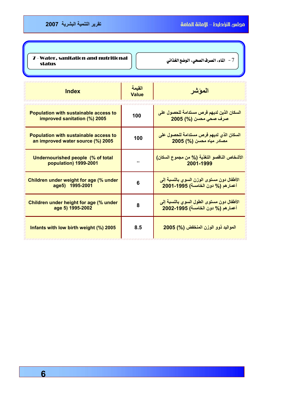| 7 - Water, sanitation and nutritional<br>status | 7 - الماء، الصرف الصحي، الوضع الغذائي |
|-------------------------------------------------|---------------------------------------|
|                                                 |                                       |

| <b>Index</b>                                                                      | القيمة<br>Value | المو شر                                                                         |
|-----------------------------------------------------------------------------------|-----------------|---------------------------------------------------------------------------------|
| <b>Population with sustainable access to</b><br>improved sanitation (%) 2005      | 100             | السكان الذين لديهم فرص مستدامة للحصول على<br>صرف صحى محسن (%) 2005              |
| <b>Population with sustainable access to</b><br>an improved water source (%) 2005 | 100             | السكان الذي لديهم فرص مستدامة للحصول على<br>مصادر مياه محسن (%) 2005            |
| <b>Undernourished people (% of total</b><br>population) 1999-2001                 | ٠.              | الأشخاص الناقصو التغذية (% من مجموع السكان)<br>2001-1999                        |
| Children under weight for age (% under<br>age5) 1995-2001                         | 6               | الأطفال دون مستوى الوزن السوى بالنسبة إلى<br>أعمار هم (% دون الخامسة) 1995-2001 |
| Children under height for age (% under<br>age 5) 1995-2002                        | 8               | الأطفال دون مستوى الطول السوى بالنسبة إلى<br>أعمار هم (% دون الخامسة) 1995-2002 |
| Infants with low birth weight (%) 2005                                            | 8.5             | المواليد ذوو الوزن المنخفض (%) 2005                                             |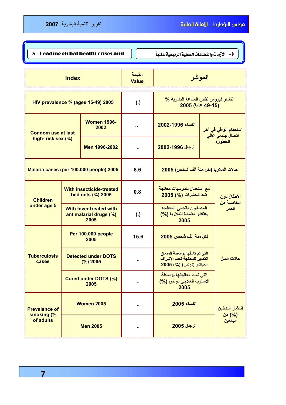**7**

| 8 - Leading global health crises and<br>8 - الأزمات والتحديات الصحية الرئيسية عالمياً |                                        |                                                                  |                                                          |                                                                                       |                           |                                       |  |
|---------------------------------------------------------------------------------------|----------------------------------------|------------------------------------------------------------------|----------------------------------------------------------|---------------------------------------------------------------------------------------|---------------------------|---------------------------------------|--|
| <b>Index</b>                                                                          |                                        | القيمة<br><b>Value</b>                                           | المؤشر                                                   |                                                                                       |                           |                                       |  |
| HIV prevalence % (ages 15-49) 2005                                                    |                                        | $\left( . \right)$                                               | انتشار فيروس نقص المناعة البشرية %<br>(49-15 عاماً) 2005 |                                                                                       |                           |                                       |  |
| <b>Condom use at last</b>                                                             |                                        | <b>Women 1996-</b><br>2002                                       |                                                          | النساء 1996-2002                                                                      |                           | استخدام الواق <i>ي</i> ف <i>ي</i> أخر |  |
| high-risk sex (%)                                                                     |                                        | Men 1996-2002                                                    | ٠.                                                       | الرجال 1996-2002                                                                      |                           | اتصال جنسي عالي<br>الخطورة            |  |
| Malaria cases (per 100.000 people) 2005                                               |                                        | 8.6                                                              | حالات الملاريا (لكل مئة ألف شخص) 2005                    |                                                                                       |                           |                                       |  |
| <b>With insecticide-treated</b><br>bed nets (%) 2005<br><b>Children</b>               |                                        | 0.8                                                              | مع استعمال ناموسيات معالجة<br>ضد الحشرات (%) 2005        |                                                                                       | الأطفال دون<br>الخامسة من |                                       |  |
| under age 5                                                                           |                                        | <b>With fever treated with</b><br>ant malarial drugs (%)<br>2005 | $\left( . \right)$                                       | المصابون بالحمى المعالجة<br>بعقاقير مضادة للملاريا (%)<br>2005                        |                           | العمر                                 |  |
|                                                                                       | Per 100.000 people<br>2005             |                                                                  | 15.6                                                     | لكل مئة ألف شخص 2005                                                                  |                           |                                       |  |
| <b>Tuberculosis</b><br>cases                                                          | <b>Detected under DOTS</b><br>(%) 2005 |                                                                  | н.                                                       | التي تم كشفها بواسطة المساق<br>القصير للمعالجة تحت الإشراف<br>المباشر (دوتس) (%) 2005 |                           | مالات الساء                           |  |
|                                                                                       |                                        | <b>Cured under DOTS (%)</b><br>2005                              |                                                          | التي تمت معالجتها بواسطة<br>الأسلوب العلاجي دوتس (%)<br>2005                          |                           |                                       |  |
| <b>Prevalence of</b>                                                                  |                                        | <b>Women 2005</b>                                                |                                                          | النساء 2005                                                                           |                           | انتشار التدخين<br>(%) من              |  |
| smoking (%<br>of adults                                                               |                                        | <b>Men 2005</b>                                                  |                                                          | الرجال 2005                                                                           |                           | البالغين                              |  |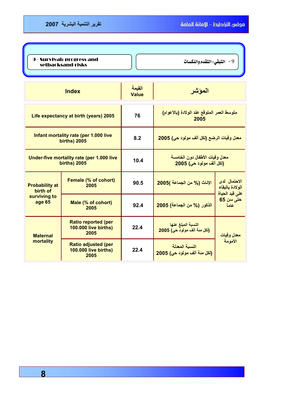| <b>9 - Survival: progress and</b><br>setbacksand risks |                              | 9 - التبقي: التقدم والنكسات |
|--------------------------------------------------------|------------------------------|-----------------------------|
| <b>Index</b>                                           | القيمة<br><mark>Value</mark> |                             |

| Life expectancy at birth (years) 2005                            |                                                                   | 76   | متوسط العمر المتوقع عند الولادة (بالأعوام)<br>2005        |                                                   |  |
|------------------------------------------------------------------|-------------------------------------------------------------------|------|-----------------------------------------------------------|---------------------------------------------------|--|
| Infant mortality rate (per 1.000 live<br><b>births) 2005</b>     |                                                                   | 8.2  | معدل وفيات الرضع (لكل ألف مولود حي) 2005                  |                                                   |  |
| Under-five mortality rate (per 1.000 live<br><b>births) 2005</b> |                                                                   | 10.4 | معدل وفيات الأطفال دون الخامسة<br>(لكل ألف مولود حي) 2005 |                                                   |  |
| <b>Probability at</b><br>birth of                                | Female (% of cohort)<br>2005                                      | 90.5 | الإناث (% من الجماعة )2005                                | الاحتمال لدى<br>الولادة بالبقاء<br>على قيد الحياة |  |
| surviving to<br>age 65                                           | Male (% of cohort)<br>2005                                        | 92.4 | الذكور (% من الجماعة) 2005                                | حتى سن 65<br>عاماً                                |  |
| <b>Maternal</b><br>mortality                                     | <b>Ratio reported (per</b><br><b>100.000 live births)</b><br>2005 | 22.4 | النسبة المبلغ عنها<br>(لكل منة ألف مولود حي) 2005         | معدل وفيات                                        |  |
|                                                                  | <b>Ratio adjusted (per</b><br><b>100.000 live births)</b><br>2005 | 22.4 | النسبة المعدلة<br>(لكل مئة ألف مولود حي) 2005             | الأمومة                                           |  |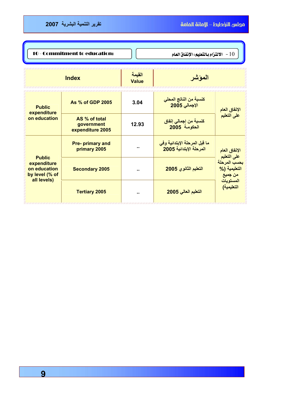| 10 - Commitment to education:<br>الالتزام بالتعليم: الإنفاق العام $\sim 10$   |                                                 |                |                                                          |                                                                    |
|-------------------------------------------------------------------------------|-------------------------------------------------|----------------|----------------------------------------------------------|--------------------------------------------------------------------|
|                                                                               | <b>Index</b>                                    | المؤشر         |                                                          |                                                                    |
| <b>Public</b>                                                                 | As % of GDP 2005                                | 3.04           | كنسبة من الناتج المحلى<br>الإجمالي 2005                  | الإنفاق العام                                                      |
| expenditure<br>on education                                                   | AS % of total<br>government<br>expenditure 2005 | 12.93          | كنسبة من إجمال <i>ى</i> إنفاق<br>الحكومة 2005            | على التعليم                                                        |
| <b>Public</b><br>expenditure<br>on education<br>by level (% of<br>all levels) | <b>Pre-primary and</b><br>primary 2005          |                | ما قبل المرحلة الإبتدائية وفي<br>المرحلة الإبتدائية 2005 | الإنفاق العام<br>على التعليم                                       |
|                                                                               | <b>Secondary 2005</b>                           | $\blacksquare$ | التعليم الثانوي 2005                                     | بحسب المرحلة<br>التعليمية (%<br>من جميع<br>المستويات<br>التعليمية) |
|                                                                               | <b>Tertiary 2005</b>                            |                | التعليم العالى 2005                                      |                                                                    |

 **9**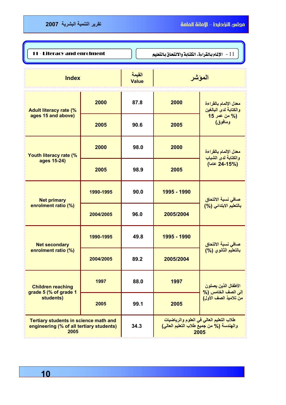| 11 - Literacy and enrolment                                                                      |           |                        | 11 - الإلمام بالقراءة، الكتابة والالتحاق بالتعليم |                                                  |  |
|--------------------------------------------------------------------------------------------------|-----------|------------------------|---------------------------------------------------|--------------------------------------------------|--|
| <b>Index</b>                                                                                     |           | القيمة<br><b>Value</b> | المؤشر                                            |                                                  |  |
| <b>Adult literacy rate (%</b>                                                                    | 2000      | 87.8                   | 2000                                              | معدل الإلمام بالقراءة<br>والكتابة لدى البالغين   |  |
| ages 15 and above)                                                                               | 2005      | 90.6                   | 2005                                              | (% من عمر 15<br>ومافوق)                          |  |
| Youth literacy rate (%                                                                           | 2000      | 98.0                   | 2000                                              | معدل الإلمام بالقراءة<br>والكتابة لدى الشباب     |  |
| ages 15-24)                                                                                      | 2005      | 98.9                   | 2005                                              | (24-15%) عاما)                                   |  |
| <b>Net primary</b>                                                                               | 1990-1995 | 90.0                   | 1995 - 1990                                       | صافي نسبة الالتحاق<br>بالتعليم الابتدائي (%)     |  |
| enrolment ratio (%)                                                                              | 2004/2005 | 96.0                   | 2005/2004                                         |                                                  |  |
| <b>Net secondary</b>                                                                             | 1990-1995 | 49.8                   | 1995 - 1990                                       | صافي نسبة الالتحاق                               |  |
| enrolment ratio (%)                                                                              | 2004/2005 | 89.2                   | 2005/2004                                         | بالتعليم الثانوي (%)                             |  |
| <b>Children reaching</b><br>grade 5 (% of grade 1                                                | 1997      | 88.0                   | 1997                                              | الأطفال الذين يصلون<br>إلى الصف الخامس (%        |  |
| students)                                                                                        | 2005      | 99.1                   | 2005                                              | من تلاميذ الصف الأول)                            |  |
| <b>Tertiary students in science math and</b><br>engineering (% of all tertiary students)<br>2005 |           | 34.3                   | والهندسة (% من جميع طلاب التعليم العالي)          | طلاب التعليم العالي في العلوم والرياضيات<br>2005 |  |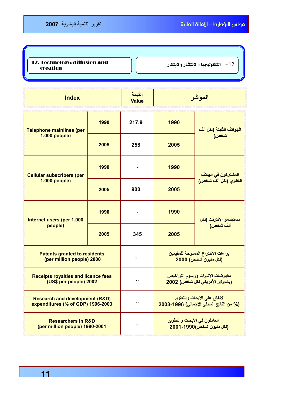א אWא J 12 12. Technology: diffusion and creation

| <b>Index</b>                                                                   |      | القيمة<br><b>Value</b> | الموشر                                                                  |                                                           |  |
|--------------------------------------------------------------------------------|------|------------------------|-------------------------------------------------------------------------|-----------------------------------------------------------|--|
| <b>Telephone mainlines (per</b>                                                | 1990 | 217.9                  | 1990                                                                    | الهواتف الثابتة (لكل ألف<br>شخص)                          |  |
| 1.000 people)                                                                  | 2005 | 258                    | 2005                                                                    |                                                           |  |
| <b>Cellular subscribers (per</b><br>1.000 people)                              | 1990 |                        | 1990                                                                    | المشتركون في الهاتف                                       |  |
|                                                                                | 2005 | 900                    | 2005                                                                    | الخلوي (لكل ألف شخص)                                      |  |
| Internet users (per 1.000<br>people)                                           | 1990 |                        | 1990                                                                    |                                                           |  |
|                                                                                | 2005 | 345                    | 2005                                                                    | مستخدمو الإنترنت (لكل<br>ألف شخص)                         |  |
| <b>Patents granted to residents</b><br>(per million people) 2000               |      |                        |                                                                         | براءات الاختراع الممنوحة للمقيمين<br>(لكل مليون شخص) 2000 |  |
| <b>Receipts royalties and licence fees</b><br>(US\$ per people) 2002           |      |                        | مقبوضات الاتاوات ورسوم التراخيص<br>(بالدولار الأمريكي لكل شخص) 2002     |                                                           |  |
| <b>Research and development (R&amp;D)</b><br>expenditures (% of GDP) 1996-2003 |      | ۰.                     | الإنفاق على الأبحاث والتطوير<br>(% من الناتج المحلي الإجمالي) 1996-2003 |                                                           |  |
| <b>Researchers in R&amp;D</b><br>(per million people) 1990-2001                |      |                        | العاملون في الأبحاث والتطوير<br>(لكل مليون شخص)1990-2001                |                                                           |  |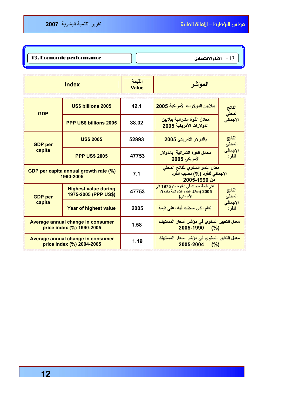13. Economic performance  $\bigcap \{$  13. Economic performance  $\bigcap \{$ 

| <b>Index</b>                                                   |                                                     | القيمة<br>Value | المؤشر                                                                                   |                                    |
|----------------------------------------------------------------|-----------------------------------------------------|-----------------|------------------------------------------------------------------------------------------|------------------------------------|
| <b>GDP</b>                                                     | <b>US\$ billions 2005</b>                           | 42.1            | ببلايين الدولارات الأمريكية 2005                                                         | الفاتج                             |
|                                                                | PPP US\$ billions 2005                              | 38.02           | معادل القوة الشرائية ببلايين<br>الدولارات الأمريكية 2005                                 | المحل <i>ي</i><br>الإجمال <i>ي</i> |
| <b>GDP</b> per                                                 | <b>US\$ 2005</b><br>52893                           |                 | بالدولار الأمريكي 2005                                                                   | الناتج<br>المحل <i>ي</i>           |
| capita                                                         | <b>PPP US\$ 2005</b>                                | 47753           | معادل القوة الشرائية بالدولار<br>الأمريكي 2005                                           | الإجمالي<br>للفرد                  |
| GDP per capita annual growth rate (%)<br>1990-2005             |                                                     | 7.1             | معدل النمو السنوى للناتج المحلى<br>الإجمالي للفرد (%) نصيب الفرد<br>من 1990-2005         |                                    |
| <b>GDP</b> per                                                 | <b>Highest value during</b><br>1975-2005 (PPP US\$) | 47753           | أعلى قيمة سجلت في الفترة من 1975 إلى<br>2005 (معادل الفوة الشرائية بالدولار<br>الأمريكي) | الناتج<br>المحل <i>ي</i>           |
| capita                                                         | <b>Year of highest value</b>                        | 2005            | العام الذي سجلت فيه أعلى قيمة                                                            | الإجمالي<br>للفر د                 |
| Average annual change in consumer<br>price index (%) 1990-2005 |                                                     | 1.58            | معدل التغيير السنوى ف <i>ي</i> موشر أسعار المستهلك<br>$2005 - 1990$ (%)                  |                                    |
| Average annual change in consumer<br>price index (%) 2004-2005 |                                                     | 1.19            | معدل التغيير السنوى ف <i>ي</i> موشر أسعار المستهلك<br>$2005 - 2004$ (%)                  |                                    |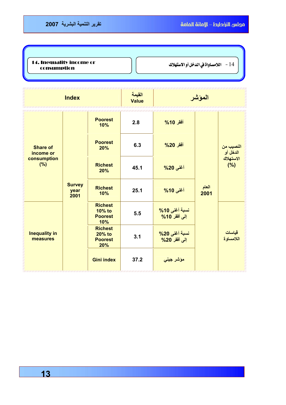## ما 14. Inequality income or [14. Inequality income or [14] 14. Inequality income or [14] 14. Inequality income consumption

|                                                                                                                         | <b>Index</b>                                        |                                                   | القيمة<br><b>Value</b>        |                               | المؤشر        |                                           |
|-------------------------------------------------------------------------------------------------------------------------|-----------------------------------------------------|---------------------------------------------------|-------------------------------|-------------------------------|---------------|-------------------------------------------|
| <b>Share of</b><br>income or<br>consumption<br>(%)<br><b>Survey</b><br>year<br>2001<br><b>Inequality in</b><br>measures |                                                     | <b>Poorest</b><br>10%                             | 2.8                           | أفقر 10%                      | العام<br>2001 |                                           |
|                                                                                                                         |                                                     | <b>Poorest</b><br>20%                             | 6.3                           | أفقر 20%                      |               | النصيب من<br>الدخل أو<br>الاستهلاك<br>(%) |
|                                                                                                                         |                                                     | <b>Richest</b><br>20%                             | 45.1                          | أغنى 20%                      |               |                                           |
|                                                                                                                         |                                                     | <b>Richest</b><br>10%                             | 25.1                          | أغنى 10%                      |               |                                           |
|                                                                                                                         | <b>Richest</b><br>$10%$ to<br><b>Poorest</b><br>10% | 5.5                                               | نسبة أغنى 10%<br>إلى أفقر 10% |                               |               |                                           |
|                                                                                                                         |                                                     | <b>Richest</b><br>20% to<br><b>Poorest</b><br>20% | 3.1                           | نسبة أغنى 20%<br>إلى أفقر 20% |               | قياسات<br>اللامساوة                       |
|                                                                                                                         |                                                     | <b>Gini index</b>                                 | 37.2                          | مؤشر جيني                     |               |                                           |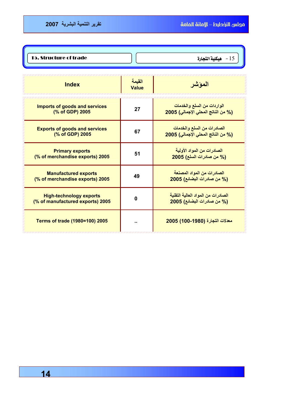15. Structure of trade  $\int$   $\int$  15. Structure of trade  $\int$  15

| <b>Index</b>                                                       | القيمة<br>Value | الموشر                                                           |
|--------------------------------------------------------------------|-----------------|------------------------------------------------------------------|
| <b>Imports of goods and services</b><br>(% of GDP) 2005            | 27              | الواردات من السلع والخدمات<br>(% من الناتج المحلي الإجمالي) 2005 |
| <b>Exports of goods and services</b><br>(% of GDP) 2005            | 67              | الصادرات من السلع والخدمات<br>(% من الناتج المحلي الإجمالي) 2005 |
| <b>Primary exports</b><br>(% of merchandise exports) 2005          | 51              | الصادرات من المواد الأولية<br>(% من صادرات السلع) 2005           |
| <b>Manufactured exports</b><br>(% of merchandise exports) 2005     | 49              | الصادرات من المواد المصنعة<br>(% من صادرات البضائع) 2005         |
| <b>High-technology exports</b><br>(% of manufactured exports) 2005 | O               | الصادرات من المواد العالية التقنية<br>(% من صادرات البضائع) 2005 |
| Terms of trade (1980=100) 2005                                     |                 | معدلات التجارة (1980-100) 2005                                   |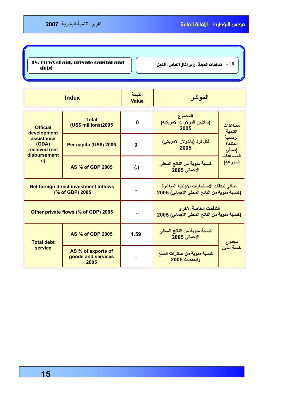18. Flows of aid, private capital and  $\Bigg| \Bigg|$  -  $\Bigg|$  18. Flows of aid, private capital and  $\Bigg|$  -  $18$ debt

| <b>Index</b>                                             |                                                  | القيمة<br>Value    | المؤشر                                                                                    |                                           |
|----------------------------------------------------------|--------------------------------------------------|--------------------|-------------------------------------------------------------------------------------------|-------------------------------------------|
| <b>Official</b><br>development                           | <b>Total</b><br>(US\$ millions)2005              | 0                  | المجموع<br>(بملايين الدولارات الأمريكية)<br>2005                                          | مساعدات<br>التنمية                        |
| assistance<br>(ODA)<br>received (net                     | Per capita (US\$) 2005                           | 0                  | لكل فرد (بالدولار الأمريكي)<br>2005                                                       | الرسمية<br>المتلقاة<br>(صافی<br>المساعدات |
| disbursement<br>s)                                       | <b>AS % of GDP 2005</b>                          | $\left( . \right)$ | كنسبة مئوية من الناتج المحلى<br>الإجمالي 2005                                             | الموزعة)                                  |
| Net foreign direct investment inflows<br>(% of GDP) 2005 |                                                  |                    | صافي تدفقات الإستثمارات الأجنبية المباشرة<br>(كنسبة مئوية من الناتج المحلى الإجمالي) 2005 |                                           |
| Other private flows (% of GDP) 2005                      |                                                  |                    | التدفقات الخاصة الأخر ي<br>(كنسبة مئوية من الناتج المحلي الإجمالي) 2005                   |                                           |
| <b>Total debt</b><br>service                             | <b>AS % of GDP 2005</b>                          | 1.59               | كنسبة مئوية من الناتج المحلى<br>الإجمالي 2005                                             |                                           |
|                                                          | AS % of exports of<br>goods and services<br>2005 |                    | كنسبة مئوية من صادرات السلع<br>والخدمات 2005                                              | مجموع<br><u>خدم</u> ة الدين               |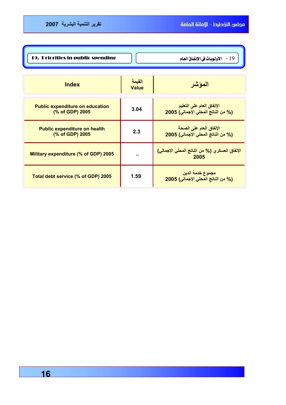| 19. Priorities in public spending | 19 - الأولوبات في الإنفاق العام |
|-----------------------------------|---------------------------------|

| <b>Index</b>                                              | القيمة<br>Value | المؤشر                                                          |
|-----------------------------------------------------------|-----------------|-----------------------------------------------------------------|
| <b>Public expenditure on education</b><br>(% of GDP) 2005 | 3.04            | الإنفاق العام على التعليم<br>(% من الناتج المحلي الإجمالي) 2005 |
| <b>Public expenditure on health</b><br>(% of GDP) 2005    | 2.3             | الإنفاق العام على الصحة<br>(% من الناتج المحلي الإجمالي) 2005   |
| Military expenditure (% of GDP) 2005                      |                 | الإنفاق العسكري (% من الناتج المحلي الإجمالي)<br>2005           |
| Total debt service (% of GDP) 2005                        | 1.59            | مجموع خدمة الدين<br>(% من الناتج المحلي الإجمالي) 2005          |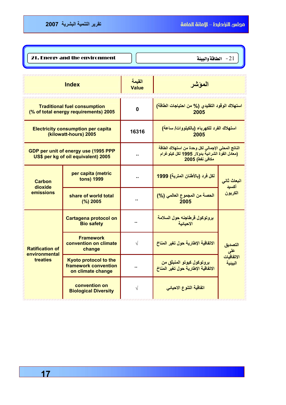| 21. Energy and the environment | الطاقة والبيئة $\sim 2$ |
|--------------------------------|-------------------------|

| <b>Index</b>                                                                 |                                                                                                                                                                                                       | القيمة<br><b>Value</b> | الموشر                                                          |                              |
|------------------------------------------------------------------------------|-------------------------------------------------------------------------------------------------------------------------------------------------------------------------------------------------------|------------------------|-----------------------------------------------------------------|------------------------------|
| <b>Traditional fuel consumption</b><br>(% of total energy requirements) 2005 |                                                                                                                                                                                                       | $\mathbf 0$            | استهلاك الوقود التقليدي (% من احتياجات الطاقة)<br>2005          |                              |
| <b>Electricity consumption per capita</b><br>(kilowatt-hours) 2005           |                                                                                                                                                                                                       | 16316                  | استهلاك الفرد للكهرباء (بالكيلووات/ ساعة)<br>2005               |                              |
|                                                                              | الناتج المحلي الإجمالي لكل وحدة من استهلاك الطاقة<br>GDP per unit of energy use (1995 PPP<br>(معادل القوة الشرائية بدولار 1995 لكل كيلوغرام<br>US\$ per kg of oil equivalent) 2005<br>مكافئ نفط) 2005 |                        |                                                                 |                              |
| <b>Carbon</b><br>dioxide                                                     | per capita (metric<br><b>tons) 1999</b>                                                                                                                                                               | ٠.                     | لكل فرد (بالأطنان المترية) 1999                                 | انبعاث ثان <i>ى</i><br>أكسيد |
| emissions                                                                    | share of world total<br>(%) 2005                                                                                                                                                                      |                        | الحصة من المجموع العالمي (%)<br>2005                            | الكريون                      |
|                                                                              | <b>Cartagena protocol on</b><br><b>Bio safety</b>                                                                                                                                                     |                        | بروتوكول قرطاجنه حول السلامة<br>الاحيائية                       |                              |
| <b>Ratification of</b><br>environmental<br>treaties                          | <b>Framework</b><br>convention on climate<br>change                                                                                                                                                   | $\sqrt{}$              | الاتفاقية الإطارية حول تغير المناخ                              | التصديق<br>على               |
|                                                                              | Kyoto protocol to the<br>framework convention<br>on climate change                                                                                                                                    |                        | بروتوكول كيوتو المنبثق من<br>الاتفاقية الإطارية حول تغير المناخ | الاتفاقيات<br>البيئية        |
|                                                                              | convention on<br><b>Biological Diversity</b>                                                                                                                                                          | V                      | اتفاقية التنوع الاحيا <i>ئي</i>                                 |                              |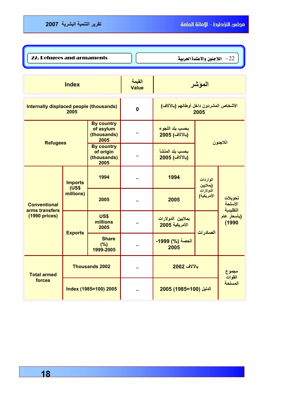I Į

2**2.** Refugees and armaments  $\bigg]$   $\bigg[$   $\bigg]$   $\bigg[$   $\bigg]$   $\bigg[$   $\bigg]$   $\bigg[$   $\bigg]$   $\bigg[$   $\bigg]$   $\bigg[$   $\bigg]$   $\bigg[$   $\bigg]$   $\bigg[$   $\bigg]$   $\bigg[$   $\bigg]$   $\bigg[$   $\bigg]$   $\bigg[$   $\bigg]$   $\bigg[$   $\bigg]$   $\bigg[$   $\bigg]$   $\$ 

| <b>Index</b>                                                                                                              |                       | القيمة<br><b>Value</b>           |                                                 | المؤشر                              |                                                 |                                                         |
|---------------------------------------------------------------------------------------------------------------------------|-----------------------|----------------------------------|-------------------------------------------------|-------------------------------------|-------------------------------------------------|---------------------------------------------------------|
| Internally displaced people (thousands)<br>2005                                                                           |                       | $\mathbf{0}$                     | الأشخاص المشردون داخل أوطانهم (بالآلاف)<br>2005 |                                     |                                                 |                                                         |
| <b>By country</b><br>of asylum<br>(thousands)<br>2005<br><b>Refugees</b><br><b>By country</b><br>of origin<br>(thousands) |                       | ж.                               | بحسب بلد اللجوع<br>(بالألاف) 2005               |                                     |                                                 |                                                         |
|                                                                                                                           |                       | 2005                             |                                                 | بحسب بلد المنشأ<br>(بالآلاف) 2005   | اللاجئون                                        |                                                         |
| <b>Imports</b><br><b>(US\$</b><br><b>Conventional</b><br>arms transfers<br>(1990 prices)<br><b>Exports</b>                |                       | 1994                             | ٠.                                              | 1994                                | الواردات<br>(بملايين<br>الدولارات<br>الأمريكية) | تحويلات<br>الأسلحة<br>التقليدية<br>(بأسعار عام<br>(1990 |
|                                                                                                                           | millions)             | 2005                             | ۰.                                              | 2005                                |                                                 |                                                         |
|                                                                                                                           |                       | <b>US\$</b><br>millions<br>2005  | ٠.                                              | بملايين الدولارات<br>الأمريكية 2005 | الصادرات                                        |                                                         |
|                                                                                                                           |                       | <b>Share</b><br>(%)<br>1999-2005 | $\blacksquare$                                  | الحصة (%) 1999-<br>2005             |                                                 |                                                         |
| <b>Total armed</b>                                                                                                        |                       | <b>Thousands 2002</b>            | Ω,                                              | بالآلاف 2002                        |                                                 | مجموع                                                   |
| forces                                                                                                                    | Index (1985=100) 2005 |                                  |                                                 | الدليل (100=1985) 2005              |                                                 | القوات<br>المسلحة                                       |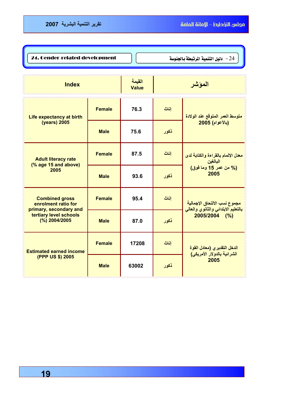| 24. Gender-related development |  |
|--------------------------------|--|
|                                |  |

دليل التنمية المرتبطة بالجنوسة - $24\,$ 

| <b>Index</b>                                                           |               | القيمة<br><b>Value</b> |      | المؤشر                                                                  |
|------------------------------------------------------------------------|---------------|------------------------|------|-------------------------------------------------------------------------|
| <b>Life expectancy at birth</b>                                        | <b>Female</b> | 76.3                   | إناث | متوسط العمر المتوقع عند الولادة                                         |
| (years) 2005                                                           | <b>Male</b>   | 75.6                   | ذكور | (بالأعوام) 2005                                                         |
| <b>Adult literacy rate</b><br>(% age 15 and above)<br>2005             | <b>Female</b> | 87.5                   | إناث | معدل الإلمام بالقراءة والكتابة لدى<br>البالغين<br>(% من عمر 15 وما فوق) |
|                                                                        | <b>Male</b>   | 93.6                   | ذكور | 2005                                                                    |
| <b>Combined gross</b><br>enrolment ratio for<br>primary, secondary and | <b>Female</b> | 95.4                   | إناث | مجموع نسب الالتحاق الإجمالية<br>بالتعليم الابتدائي والثانوي والعالي     |
| tertiary level schools<br>(%) 2004/2005                                | <b>Male</b>   | 87.0                   | ذكور | 2005/2004 (%)                                                           |
| <b>Estimated earned income</b><br>(PPP US \$) 2005                     | <b>Female</b> | 17208                  | إناث | الدخل التقديرى (معادل القوة<br>الشرائية بالدولار الأمريكي)              |
|                                                                        | <b>Male</b>   | 63002                  | ذكور | 2005                                                                    |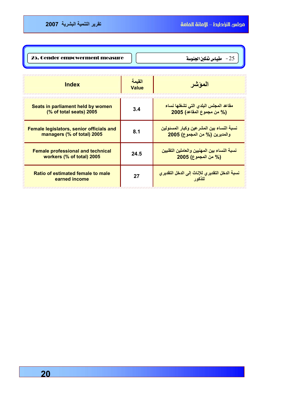| 25. Gender empowerment measure | 25 - مقياس نقكين الجنوسة |
|--------------------------------|--------------------------|
|                                |                          |

| Index                                                                  | القيمة<br><b>Value</b> | الموشر                                                                     |
|------------------------------------------------------------------------|------------------------|----------------------------------------------------------------------------|
| Seats in parliament held by women<br>(% of total seats) 2005           | 3.4                    | مقاعد المجلس البلدى التى تشغلها نساء<br>(% من مجموع المقاعد) 2005          |
| Female legislators, senior officials and<br>managers (% of total) 2005 | 8.1                    | نسبة النساء بين المشر عين وكبار المسئولين<br>والمديرين (% من المجموع) 2005 |
| <b>Female professional and technical</b><br>workers (% of total) 2005  | 24.5                   | نسبة النساء بين المهنيين والعاملين التقنيين<br>(% من المجموع) 2005         |
| Ratio of estimated female to male<br>earned income                     | 27                     | نسبة الدخل التقديري للإناث إلى الدخل التقديري<br>للذكه ر                   |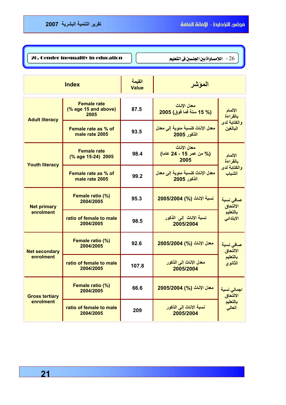| 26. Gender inequality in education |  | اللامساواة بين الجنسين في التعليم $\sim 26$ |
|------------------------------------|--|---------------------------------------------|
|------------------------------------|--|---------------------------------------------|

|                       | <b>Index</b>                                       | القيمة<br><b>Value</b> | الموشر                                          |                          |  |
|-----------------------|----------------------------------------------------|------------------------|-------------------------------------------------|--------------------------|--|
| <b>Adult literacy</b> | <b>Female rate</b><br>(% age 15 and above)<br>2005 | 87.5                   | معدل الاناث<br>(15 % 15 سنة فما فوق) 2005       | الإلمام<br>بالقراءة      |  |
|                       | Female rate as % of<br>male rate 2005              | 93.5                   | معدل الإناث كنسبة مئوية إلى معدل<br>الذكور 2005 | والكتابة لدى<br>البالغين |  |
| <b>Youth literacy</b> | <b>Female rate</b><br>(% age 15-24) 2005           | 98.4                   | معدل الاناث<br>(% من عمر 15 - 24 عاما)<br>2005  | الإلمام<br>بالقراءة      |  |
|                       | Female rate as % of<br>male rate 2005              | 99.2                   | معدل الإناث كنسبة مئوية إلى معدل<br>الذكور 2005 | والكتابة لدى<br>الشباب   |  |
| <b>Net primary</b>    | Female ratio (%)<br>2004/2005                      | 95.3                   | نسبة الإناث (%) 2005/2004                       | صافى نسبة<br>الالتحاق    |  |
| enrolment             | ratio of female to male<br>2004/2005               | 98.5                   | نسبة الإناث إلى الذكور<br>2005/2004             | بالتعليم<br>الابتدائى    |  |
| <b>Net secondary</b>  | Female ratio (%)<br>2004/2005                      | 92.6                   | معدل الإناث (%) 2005/2004                       | صافى نسبة<br>الالتحاق    |  |
| enrolment             | ratio of female to male<br>2004/2005               | 107.8                  | معدل الإناث إلى الذكور<br>2005/2004             | بالتعليم<br>الثانوي      |  |
| <b>Gross tertiary</b> | Female ratio (%)<br>2004/2005                      | 66.6                   | معدل الإناث (%) 2005/2004                       | اجمالى نسبة<br>الالتحاق  |  |
| enrolment             | ratio of female to male<br>2004/2005               | 209                    | نسبة الإناث إلى الذكور<br>2005/2004             | بالتعليم<br>العالي       |  |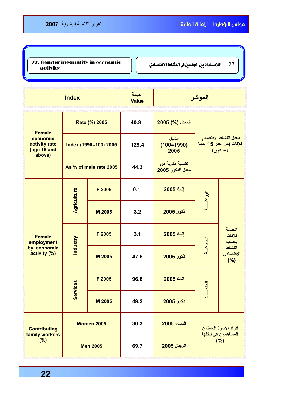אאאאא J 27 27. Gender inequality in economic activity

| <b>Index</b>                                                        |                        | القيمة<br><b>Value</b> |       | المؤشر                             |                                                             |                                                         |
|---------------------------------------------------------------------|------------------------|------------------------|-------|------------------------------------|-------------------------------------------------------------|---------------------------------------------------------|
| Rate (%) 2005                                                       |                        |                        | 40.8  | المعدل (%) 2005                    |                                                             |                                                         |
| <b>Female</b><br>economic<br>activity rate<br>(age 15 and<br>above) | Index (1990=100) 2005  |                        | 129.4 | الدليل<br>$(100=1990)$<br>2005     | معدل النشاط الاقتصادي<br>للإناث (من عمر 15 عاما<br>وما فوق) |                                                         |
|                                                                     | As % of male rate 2005 |                        | 44.3  | كنسبة مئوية من<br>معدل الذكور 2005 |                                                             |                                                         |
| <b>Female</b><br>employment                                         | Agriculture            | F 2005                 | 0.1   | إناث 2005                          | الزراعسة                                                    |                                                         |
|                                                                     |                        | M 2005                 | 3.2   | <b>ذكور 2005</b>                   |                                                             | العمالة<br>للإناث<br>بحسب<br>النشاط<br>الاقتصادي<br>(%) |
|                                                                     | <b>Industry</b>        | F 2005                 | 3.1   | إناث 2005                          | الصناعسة                                                    |                                                         |
| by economic<br>activity (%)                                         |                        | M 2005                 | 47.6  | <u>ذكور 2005</u>                   |                                                             |                                                         |
|                                                                     | <b>Services</b>        | F 2005                 | 96.8  | إناث 2005                          | الخدمسات                                                    |                                                         |
|                                                                     |                        | M 2005                 | 49.2  | <mark>ذكور 2005</mark>             |                                                             |                                                         |
| <b>Contributing</b>                                                 |                        | <b>Women 2005</b>      | 30.3  | النساء 2005                        |                                                             | أفراد الأسرة العاملون                                   |
| family workers<br>(%)                                               | <b>Men 2005</b>        |                        | 69.7  | الرجال 2005                        | المساهمون ف <i>ي</i> دخلها<br>(%)                           |                                                         |

 **22**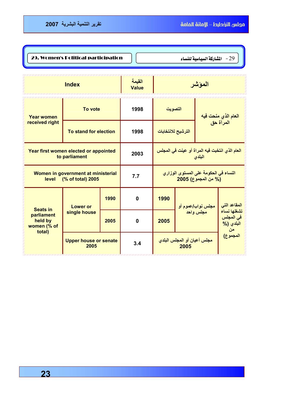29. Women's Political participation  $\bigcap$   $\bigcap$ 

| <b>Index</b>                                                     |                                      | القيمة<br><b>Value</b> |                                                              |                                             | المؤشر                         |           |                                                             |
|------------------------------------------------------------------|--------------------------------------|------------------------|--------------------------------------------------------------|---------------------------------------------|--------------------------------|-----------|-------------------------------------------------------------|
| To vote<br><b>Year women</b>                                     |                                      | 1998                   | التصويت                                                      |                                             | العام الذي منحت فيه            |           |                                                             |
| received right                                                   | To stand for election                |                        | 1998                                                         | الترشيح للانتخابات                          |                                | المرأة حق |                                                             |
| Year first women elected or appointed<br>to parliament           |                                      | 2003                   | العام الذي انتخبت فيه المراة أو عينت في المجلس<br>البلدى     |                                             |                                |           |                                                             |
| Women in government at ministerial<br>(% of total) 2005<br>level |                                      | 7.7                    | النساء في الحكومة على المستوى الوزاري<br>(% من المجموع) 2005 |                                             |                                |           |                                                             |
| <b>Seats in</b>                                                  | <b>Lower or</b>                      | 1990                   | $\bf{0}$                                                     | 1990                                        | مجلس نواب/عموم أو<br>مجلس واحد |           | المقاعد التي<br>تشغلها نساء<br>في المجلس<br>البلدي (%<br>من |
| parliament<br>held by<br>women (% of                             | single house                         | 2005                   | $\mathbf 0$                                                  | 2005                                        |                                |           |                                                             |
| total)                                                           | <b>Upper house or senate</b><br>2005 |                        | 3.4                                                          | مجلس أعيان أو المجلس البلد <i>ى</i><br>2005 |                                | المجموع)  |                                                             |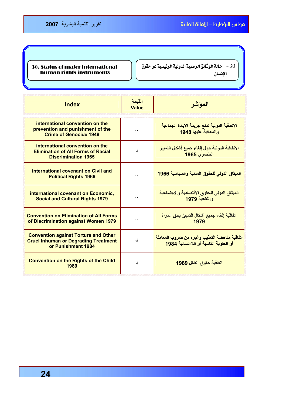30. Status of major international human rights instruments

الذائل الرسمية الدولية الرئيسية عن حقوق  $\sim 30$ 

الإنسان

I I I I ļ

| <b>Index</b>                                                                                                     | القيمة<br>Value | الموشر                                                                                  |
|------------------------------------------------------------------------------------------------------------------|-----------------|-----------------------------------------------------------------------------------------|
| international convention on the<br>prevention and punishment of the<br><b>Crime of Genocide 1948</b>             |                 | الاتفاقية الدولية لمنع جريمة الابادة الجماعية<br>والمعاقبة عليها 1948                   |
| international convention on the<br><b>Elimination of All Forms of Racial</b><br><b>Discrimination 1965</b>       | $\sqrt{}$       | الاتفاقية الدولية حول إلغاء جميع أشكال التمييز<br>الع <i>نصر ي</i> 1965                 |
| international covenant on Civil and<br><b>Political Rights 1966</b>                                              |                 | الميثاق الدولى للحقوق المدنية والسياسية 1966                                            |
| international covenant on Economic,<br><b>Social and Cultural Rights 1979</b>                                    |                 | الميثاق الدولى للحقوق الاقتصادية والاجتماعية<br>والثقافية 1979                          |
| <b>Convention on Elimination of All Forms</b><br>of Discrimination against Women 1979                            |                 | اتفاقية إلغاء جميع أشكال التمييز بحق المرأة<br>1979                                     |
| <b>Convention against Torture and Other</b><br><b>Cruel Inhuman or Degrading Treatment</b><br>or Punishment 1984 | $\sqrt{}$       | اتفاقية مناهضة التعذيب وغيره من ضروب المعاملة<br>أو العقوبة القاسبة أو اللاانسانية 1984 |
| <b>Convention on the Rights of the Child</b><br>1989                                                             | V               | اتفاقية حقوق الطفل 1989                                                                 |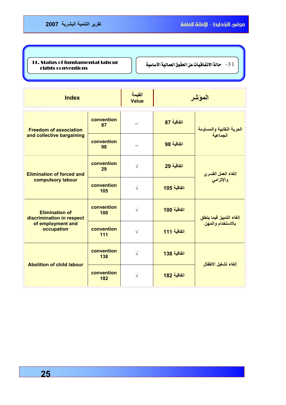## $\frac{31. \text{ Status of fundamental labour}}{1. \text{ Substitute computation.}}$ -3 مائة الاتفاقيات عن الحقوق العمائية الأساسية - | ... rights conventions

| <b>Index</b>                                               |                   | القيمة<br><b>Value</b> |             | المؤشر                                  |
|------------------------------------------------------------|-------------------|------------------------|-------------|-----------------------------------------|
| <b>Freedom of association</b><br>and collective bargaining | convention<br>87  |                        | اتفاقية 87  | الحرية النقابية والمساومة<br>الجماعية   |
|                                                            | convention<br>98  | ۰.                     | اتفاقية 98  |                                         |
| <b>Elimination of forced and</b>                           | convention<br>29  | $\sqrt{}$              | اتفاقية 29  | إلغاء العمل القسري<br>والإلزام <i>ي</i> |
| compulsory labour                                          | convention<br>105 | $\sqrt{}$              | اتفاقية 105 |                                         |
| <b>Elimination of</b><br>discrimination in respect         | convention<br>100 | $\sqrt{}$              | اتفاقية 100 | إلغاء التمييز فيما يتعلق                |
| of employment and<br>occupation                            | convention<br>111 | $\sqrt{}$              | اتفاقية 111 | بالاستخدام والمهن                       |
| <b>Abolition of child labour</b>                           | convention<br>138 | $\sqrt{}$              | اتفاقية 138 | الغاء تشغيل الأطفال                     |
|                                                            | convention<br>182 | $\sqrt{}$              | اتفاقية 182 |                                         |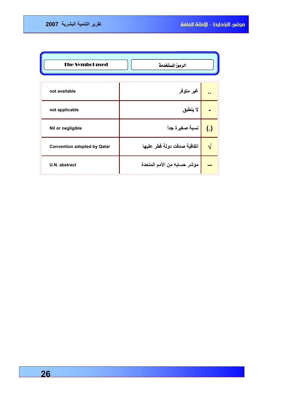| <b>The Symbol used</b><br>الرموزالمستغدمة |                             |                  |  |  |  |
|-------------------------------------------|-----------------------------|------------------|--|--|--|
| not available                             | غير متوفر                   |                  |  |  |  |
| not applicable                            | لا ينطبق                    |                  |  |  |  |
| Nil or negligible                         | نسبة صغيرة جداً             | $\overline{(.)}$ |  |  |  |
| <b>Convention adopted by Qatar</b>        | اتفاقية صدقت دولة قطر عليها |                  |  |  |  |
| U.N. abstract                             | مؤشر حسابه من الأمم المتحدة |                  |  |  |  |